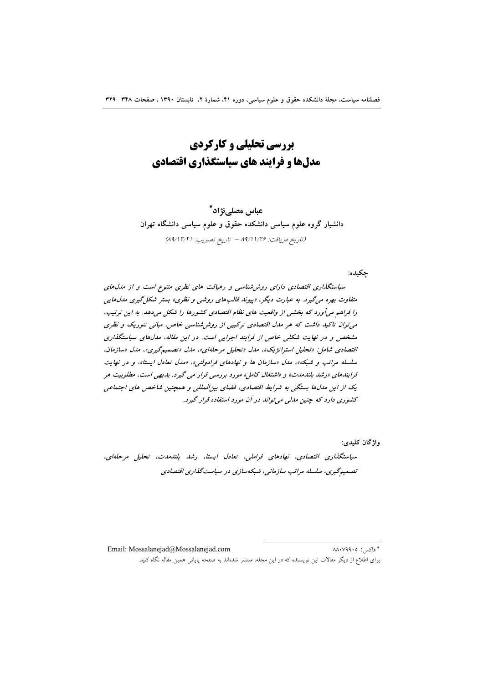**بررسی تحلیلی و کارکردی** مدلها و فرایند های سیاستگذاری اقتصادی

عياس مصلي;ڎاد\* دانشیار گروه علوم سیاسی دانشکده حقوق و علوم سیاسی دانشگاه تهران (تاريخ دريافت: ١/٢۶ / ٨٩/١٧٩٣ تاريخ تصويب: (٨٩/١٢/٢)

حكىدە:

سیاستگذاری اقتصادی دارای روش شناسی و رهبافت های نظری متنوع است و از مدل های متفاوت بهره می گیرد. به عبارت دیگر، «پیوند قالبهای روشی و نظری» بستر شکل گیری مدلهایی را فراهم می آورد که بخشی از واقعیت های نظام اقتصادی کشورها را شکل میدهد. به این ترتیب، می توان تاکید داشت که هر مدل اقتصادی ترکیبی از روش شناسی خاص، مبانی تئوریک و نظری مشخص و در نهایت شکلی خاص از فرایند اجرایی است. در این مقاله، مدلهای سیاستگذاری اقتصادی شامل: «تحلیل استراتژیک»، مدل «تحلیل مرحلهای»، مدل «تصمیمگیری»، مدل «سازمان، سلسله مراتب و شبکه»، مدل «سازمان ها و نهادهای فرادولتی»، «مدل تعادل ایستا»، و در نهایت فرایندهای «رشد بلندمدت» و «اشتغال کامل» مورد بررسی قرار می گیرد. بدیهی است، مطلوبیت هر یک از این مدلها بستگی به شرایط اقتصادی، فضای بینالمللی و همچنین شاخص های اجتماعی کشوری دارد که چنین مدلی می تواند در آن مورد استفاده قرار گیرد.

واژگان کليدي:

سیاستگذاری اقتصادی، نهادهای فراملی، تعادل ایستا، رشد بلندمدت، تحلیل مرحلهای، تصمیمگیری، سلسله مراتب سازمانی، شبکهسازی در سیاست گذاری اقتصادی

Email: Mossalaneiad@Mossalaneiad.com \* فاكتب: ٨٨٠٧٩٩٠٥ برای اطلاع از دیگر مقالات این نویسنده که در این مجله، منتشر شدهاند به صفحه یایانی همین مقاله نگاه کنید.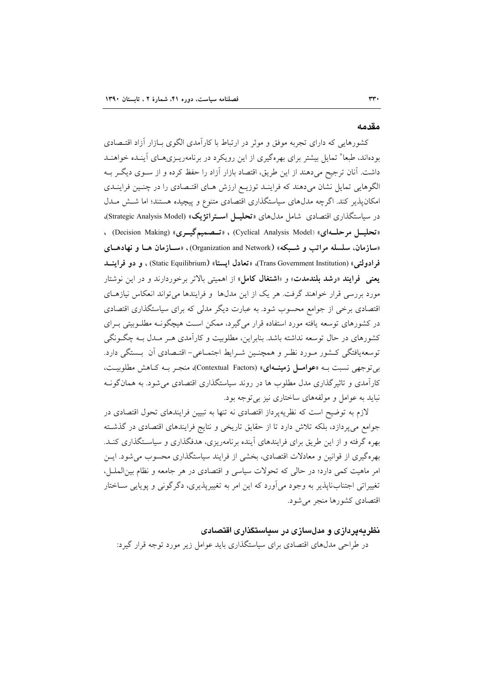#### مقدمه

کشورهایی که دارای تجربه موفق و موثر در ارتباط با کارآمدی الگوی بـازار آزاد اقتـصادی بودهاند، طبعا" تمایل بیشتر برای بهرهگیری از این رویکرد در برنامهریـزیهـای آینـده خواهنـد داشت. آنان ترجیح میدهند از این طریق، اقتصاد بازار آزاد را حفظ کرده و از سـوی دیگـر بـه الگوهایی تمایل نشان میدهند که فراینـد توزیـع ارزش هـای اقتـصادی را در چنـین فراینـدی امکان پذیر کند. اگرچه مدل۵عای سیاستگذاری اقتصادی متنوع و پیچیده هستند؛ اما شش ملدل در سیاستگذاری اقتصادی شامل مدلهای «تحلیــل اســتراتژیک» (Strategic Analysis Model)، ، تحليــل مرحلــهاى» (Cyclical Analysis Model) ، «تــصميمگيــرى» (Decision Making) ، «سازمان، سلسله مراتب و شـبکه» (Organization and Network)، «ســازمان هــا و نهادهــای فرادولتي» (Trans Government Institution)، «تعادل ايستا» (Static Equilibrium) ، و دو فراينـــد **یعنی فرایند «رشد بلندمدت» و «اشتغال کامل» از اهمیتی بالاتر برخوردارند و در این نوشتار** مورد بررسی قرار خواهند گرفت. هر یک از این مدل۱ها و فرایندها می تواند انعکاس نیازهـای اقتصادی برخی از جوامع محسوب شود. به عبارت دیگر مدلی که برای سیاستگذاری اقتصادی در کشورهای توسعه یافته مورد استفاده قرار میگیرد، ممکن است هیچگونــه مطلــوبیتی بــرای کشورهای در حال توسعه نداشته باشد. بنابراین، مطلوبیت و کارآمدی هــر مــدل بــه چگــونگی توسعه یافتگی کشور مـورد نظـر و همچنـین شـرایط اجتمـاعی- اقتـصادی آن بـستگی دارد. بی توجهی نسبت بـه «عوامـل زمینــهای» (Contextual Factors)، منجـر بـه كـاهش مطلوبيـت، کارآمدی و تاثیرگذاری مدل مطلوب ها در روند سیاستگذاری اقتصادی می شود. به همان گونــه نباید به عوامل و مولفههای ساختاری نیز بی توجه بود.

لازم به توضیح است که نظریهپرداز اقتصادی نه تنها به تبیین فرایندهای تحول اقتصادی در جوامع می پردازد، بلکه تلاش دارد تا از حقایق تاریخی و نتایج فرایندهای اقتصادی در گذشته بهره گرفته و از این طریق برای فرایندهای آینده برنامهریزی، هدفگذاری و سیاستگذاری کنـد. بهرهگیری از قوانین و معادلات اقتصادی، بخشی از فرایند سیاستگذاری محسوب می شود. ایــن امر ماهیت کمی دارد؛ در حالی که تحولات سیاسی و اقتصادی در هر جامعه و نظام بین الملـل، تغییراتی اجتنابنایذیر به وجود می آورد که این امر به تغییریذیری، دگر گونی و یوپایی سـاختار اقتصادی کشورها منجر می شود.

# نظریهپردازی و مدلسازی در سیاستگذاری اقتصادی

در طراحی مدلهای اقتصادی برای سیاستگذاری باید عوامل زیر مورد توجه قرار گیرد: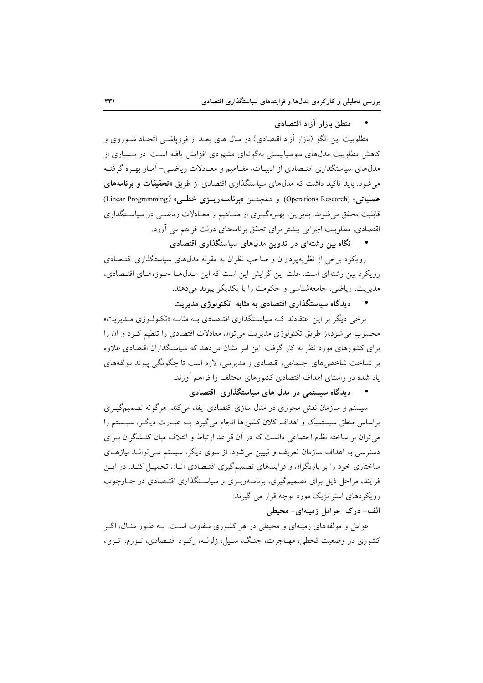منطق بازار آزاد اقتصادي

مطلوبیت این الگو (بازار آزاد اقتصادی) در سال های بعـد از فروپاشــی اتحـاد شــوروی و کاهش مطلوبیت مدلهای سوسیالیستی بهگونهای مشهودی افزایش یافته است. در بـسیاری از مدلهای سیاستگذاری اقتـصادی از ادبیـات، مفـاهیم و معـادلات ریاضـی- آمـار بهـره گرفتـه می شود. باید تاکید داشت که مدلهای سیاستگذاری اقتصادی از طریق «**تحقیقات و برنامههای** عملیاتی» (Operations Research) و همچنـین «برنامـهریـزی خطـی» (Linear Programming) قابلیت محقق می شوند. بنابراین، بهـرهگیـری از مفـاهیم و معـادلات ریاضـی در سیاسـتگذاری اقتصادی، مطلوبیت اجرایی بیشتر برای تحقق برنامههای دولت فراهم می آورد.

نگاه بین رشتهای در تدوین مدلهای سیاستگذاری اقتصادی

رویکرد برخی از نظریهپردازان و صاحب نظران به مقوله مدل،های سیاستگذاری اقتـصادی رویکرد بین رشتهای است. علت این گرایش این است که این مـدل۱هـا حـوزههـای اقتـصادی، مدیریت، ریاضی، جامعهشناسی و حکومت را با یکدیگر پیوند می دهند.

• دیدگاه سیاستگذاری اقتصادی به مثابه تکنولوژی مدیریت

برخی دیگر بر این اعتقادند کـه سیاسـتگذاری اقتـصادی بـه مثابـه «تکنولـوژی مـدیریت» محسوب می شود.از طریق تکنولوژی مدیریت می توان معادلات اقتصادی را تنظیم کـرد و آن را برای کشورهای مورد نظر به کار گرفت. این امر نشان میدهد که سیاستگذاران اقتصادی علاوه بر شناخت شاخص های اجتماعی، اقتصادی و مدیریتی، لازم است تا چگونگی پیوند مولفههای یاد شده در راستای اهداف اقتصادی کشورهای مختلف را فراهم آورند.

دیدگاه سیستمی در مدل های سیاستگذاری اقتصادی

سیستم و سازمان نقش محوری در مدل سازی اقتصادی ایفاء می کند. هرگونه تصمیمگیـری براساس منطق سیستمیک و اهداف کلان کشورها انجام می گیرد. بــه عبــارت دیگــر، سیــستم را می توان بر ساخته نظام اجتماعی دانست که در آن قواعد ارتباط و ائتلاف میان کنـشگران بـرای دسترسی به اهداف سازمان تعریف و تبیین میشود. از سوی دیگر، سیستم مـیتوانـد نیازهـای ساختاری خود را بر بازیگران و فرایندهای تصمیمگیری اقتـصادی آنـان تحمیـل کنـد. در ایــن فرایند، مراحل ذیل برای تصمیمگیری، برنامـهریـزی و سیاسـتگذاری اقتـصادی در چـارچوب رویکر دهای استراتژیک مورد توجه قرار می گیرند: الف- درک عوامل زمینهای- محیطی

عوامل و مولفههای زمینهای و محیطی در هر کشوری متفاوت است. بــه طــور مثــال، اگــر کشوری در وضعیت قحطی، مهـاجرت، جنـگ، سـیل، زلزلـه، رکـود اقتـصادی، تـورم، انـزوا،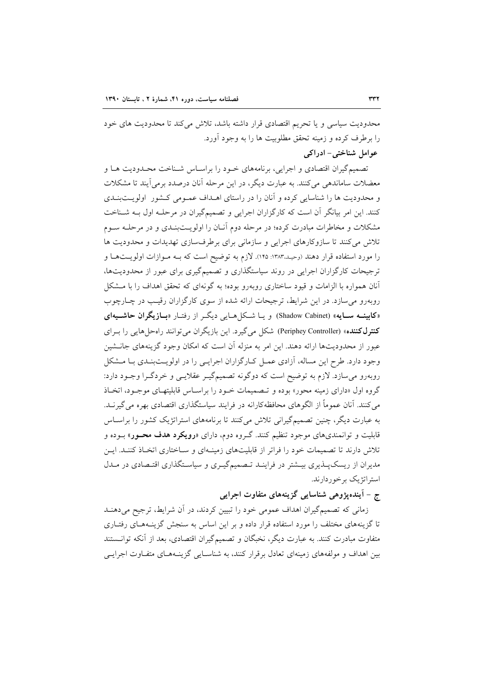محدودیت سیاسی و یا تحریم اقتصادی قرار داشته باشد، تلاش می کند تا محدودیت های خود را برطرف کرده و زمینه تحقق مطلوبیت ها را به وجود آورد.

عوامل شناختی- ادراکی

تصمیم گیران اقتصادی و اجرایی، برنامههای خـود را براسـاس شـناخت محـدودیت هـا و معضلات ساماندهی می کنند. به عبارت دیگر، در این مرحله آنان درصدد برمی آیند تا مشکلات و محدودیت ها را شناسایی کرده و آنان را در راستای اهـداف عمـومی کـشور اولویــتبنـدی کنند. این امر بیانگر آن است که کارگزاران اجرایی و تصمیمگیران در مرحلـه اول بـه شـناخت مشکلات و مخاطرات مبادرت کرده؛ در مرحله دوم آنـان را اولویــتبنـدی و در مرحلــه ســوم تلاش می کنند تا سازوکارهای اجرایی و سازمانی برای برطرفسازی تهدیدات و محدودیت ها را مورد استفاده قرار دهند (وحیـد.۱۳۸۳: ۱۴۵). لازم به توضیح است که بــه مــوازات اولویــتهــا و ترجیحات کارگزاران اجرایی در روند سیاستگذاری و تصمیمگیری برای عبور از محدودیتها، آنان همواره با الزامات و قیود ساختاری روبهرو بوده؛ به گونهای که تحقق اهداف را با مــشکل روبهرو می سازد. در این شرایط، ترجیحات ارائه شده از سوی کارگزاران رقیب در چـارچوب «کابینــه ســایه» (Shadow Cabinet) و یــا شــکل هــایی دیگــر از رفتــار «بــازیگران حاشـــیهای كنترل كننده» (Periphey Controller) شكل مي گيرد. اين بازيگران مي توانند راه حل هايي را بـراي عبور از محدودیتها ارائه دهند. این امر به منزله آن است که امکان وجود گزینههای جانــشین وجود دارد. طرح این مساله، آزادی عمـل کـارگزاران اجرایـی را در اولویـتبنـدی بـا مـشکل روبهرو میسازد. لازم به توضیح است که دوگونه تصمیمگیـر عقلایـی و خردگـرا وجـود دارد: گروه اول «دارای زمینه محور» بوده و تصمیمات خـود را براسـاس قابلیتهـای موجـود، اتخـاذ می کنند. آنان عموماً از الگوهای محافظه کارانه در فرایند سیاستگذاری اقتصادی بهره می گیرنـد. به عبارت دیگر، چنین تصمیمگیرانی تلاش میکنند تا برنامههای استراتژیک کشور را براسـاس قابلیت و توانمندیهای موجود تنظیم کنند. گـروه دوم، دارای «**رویکرد هدف محــور**» بــوده و تلاش دارند تا تصمیمات خود را فراتر از قابلیتهای زمینهای و سـاختاری اتخـاذ کننـد. ایـن مدیران از ریسکپلدیری بیـشتر در فراینـد تـصمیمگیـری و سیاسـتگذاری اقتـصادی در مـدل استراتژیک برخوردارند.

# ج – آینده پژوهی شناسایی گزینههای متفاوت اجرایی

زمانی که تصمیمگیران اهداف عمومی خود را تبیین کردند، در أن شرایط، ترجیح میدهنـد تا گزینههای مختلف را مورد استفاده قرار داده و بر این اساس به سنجش گزینـههـای رفتـاری متفاوت مبادرت کنند. به عبارت دیگر، نخبگان و تصمیمگیران اقتصادی، بعد از آنکه توانستند بین اهداف و مولفههای زمینهای تعادل برقرار کنند، به شناسـایی گزینـههـای متفـاوت اجرایـی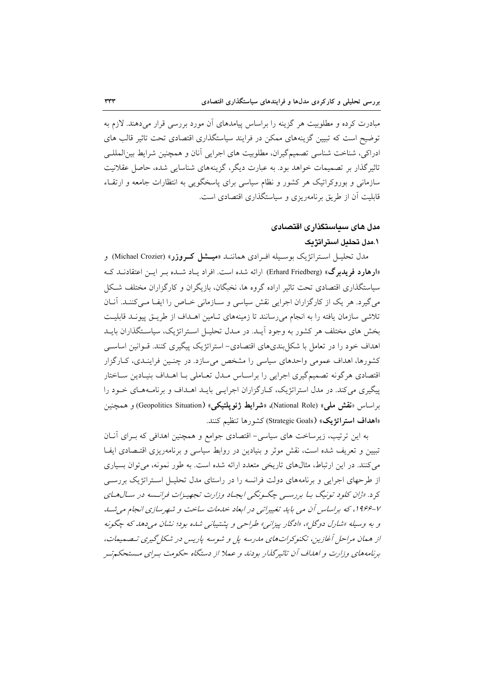مبادرت کرده و مطلوبیت هر گزینه را براساس پیامدهای آن مورد بررسی قرار میدهند. لازم به توضیح است که تبیین گزینههای ممکن در فرایند سیاستگذاری اقتصادی تحت تاثیر قالب های ادراکی، شناخت شناسی تصمیمگیران، مطلوبیت های اجرایی آنان و همچنین شرایط بین المللـی تاثیر گذار بر تصمیمات خواهد بود. به عبارت دیگر، گزینههای شناسایی شده، حاصل عقلانیت سازمانی و بوروکراتیک هر کشور و نظام سیاسی برای پاسخگویی به انتظارات جامعه و ارتقـاء قابلیت آن از طریق برنامهریزی و سیاستگذاری اقتصادی است.

# مدل های سداستگذار ی اقتصادی

# ١.مدل تحليل استراتژيک

مدل تحليـل اســتراتژيک بوسـيله افـرادي هماننــد «م**يـــشل کــروزر**» (Michael Crozier) و «ارهارد فریدبرگ» (Erhard Friedberg) ارائه شده است. افراد پاد شبده بیر این اعتقادنید ک سیاستگذاری اقتصادی تحت تاثیر اراده گروه ها، نخبگان، بازیگران و کارگزاران مختلف شکل می گیرد. هر یک از کارگزاران اجرایی نقش سیاسی و سـازمانی خـاص را ایفـا مـی کننـد. آنـان تلاشی سازمان یافته را به انجام میرسانند تا زمینههای تـامین اهـداف از طریـق پیونـد قابلیـت بخش های مختلف هر کشور به وجود آیـد. در مـدل تحلیـل اسـتراتژیک، سیاسـتگذاران بایـد اهداف خود را در تعامل با شکل بندیهای اقتصادی- استراتژیک پیگیری کنند. قـوانین اساسـی کشورها، اهداف عمومی واحدهای سیاسی را مشخص میسازد. در چنـین فراینـدی، کـارگزار اقتصادی هرگونه تصمیمگیری اجرایی را براسـاس مـدل تعـاملی بـا اهـداف بنیـادین سـاختار پیگیری می کند. در مدل استراتژیک، کـارگزاران اجرایـی بایــد اهــداف و برنامــههـای خــود را براساس «نقش ملي» (National Role)، «شرايط ژئوپلتيكي» (Geopolitics Situation) و همچنين «اهداف استراتژیک» (Strategic Goals) کشورها تنظیم کنند.

به این ترتیب، زیرساخت های سیاسی- اقتصادی جوامع و همچنین اهدافی که بـرای آنـان تبیین و تعریف شده است، نقش موثر و بنیادین در روابط سیاسی و برنامهریزی اقتـصادی ایفـا می کنند. در این ارتباط، مثالهای تاریخی متعدد ارائه شده است. به طور نمونه، می توان بسیاری از طرحهای اجرایی و برنامههای دولت فرانسه را در راستای مدل تحلیـل اسـتراتژیک بررسـی کرد. «ژان کلود تونیگ بـا بررسـی چگـونگی ایجـاد وزارت تجهیـزات فرانـسه در سـال۱مـای ۷-۱۹۶۶، که براساس آن می باید تغییراتی در ابعاد خدمات ساخت و شهرسازی انجام می شب و به وسیله «شارل دوگل»، «ادگار پیزانبي» طراحی و پشتیبانی شده بود؛ نشان می دهد که چگونه از همان مراحل آغازین، تکنوکراتهای مارسه پل و شوسه پاریس در شکل گیری تصمیمات، برنامههای وزارت و اهداف آن تاثیرگذار بودند و عملا از دستگاه حکومت بهرای مستحکم تهر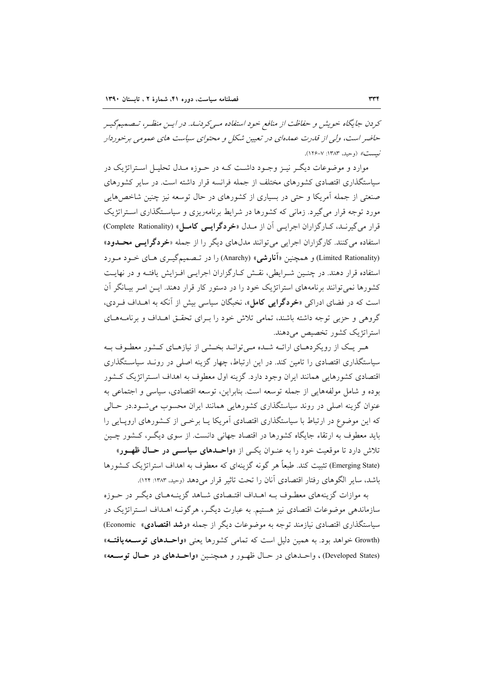کردن جایگاه خویش و حفاظت از منافع خود استفاده مهی کردنید. در ایس منظر، تصمیم گیس حاضر است، ولی از قلدرت عملهای در تعیین شکل و محتوای سیاست های عمومی برخوردار نيست» (وحيد، ١٣٨٣: ٧-١٢۶).

موارد و موضوعات دیگـر نیـز وجـود داشـت کـه در حـوزه مـدل تحليـل اسـتراتژيک در سیاستگذاری اقتصادی کشورهای مختلف از جمله فرانسه قرار داشته است. در سایر کشورهای صنعتی از جمله اَمریکا و حتی در بسیاری از کشورهای در حال توسعه نیز چنین شاخصهایی مورد توجه قرار می گیرد. زمانی که کشورها در شرایط برنامهریزی و سیاستگذاری استراتژیک قرار می گیرنـد، كـارگزاران اجرایـی آن از مـدل «خردگرایـی كامـل» (Complete Rationality) استفاده می کنند. کارگزاران اجرایی می توانند مدلهای دیگر را از جمله «خردگرایمی محلدود» (Limited Rationality) و همچنین «آ**نارشی**» (Anarchy) را در تـصمیمگیـری هـای خـود مـورد استفاده قرار دهند. در چنـین شـرایطی، نقـش کـارگزاران اجرایـی افـزایش یافتـه و در نهایـت کشورها نمی توانند برنامههای استراتژیک خود را در دستور کار قرار دهند. ایــن امـر بیــانگر آن است که در فضای ادراکی «خردگرایی کامل»، نخبگان سیاسی بیش از آنکه به اهـداف فـردی، گروهی و حزبی توجه داشته باشند، تمامی تلاش خود را بـرای تحقـق اهـداف و برنامـههـای استراتژیک کشور تخصیص می دهند.

هـر یـک از رویکردهـای ارائــه شـده مـی توانـد بخـشی از نیازهـای کـشور معطـوف بـه سیاستگذاری اقتصادی را تامین کند. در این ارتباط، چهار گزینه اصلی در رونـد سیاسـتگذاری اقتصادی کشورهایی همانند ایران وجود دارد. گزینه اول معطوف به اهداف استراتژیک کشور بوده و شامل مولفههایی از جمله توسعه است. بنابراین، توسعه اقتصادی، سیاسی و اجتماعی به عنوان گزینه اصلی در روند سیاستگذاری کشورهایی همانند ایران محسوب می شـود.در حـالی که این موضوع در ارتباط با سیاستگذاری اقتصادی آمریکا یـا برخــی از کــشورهای اروپــایی را باید معطوف به ارتقاء جایگاه کشورها در اقتصاد جهانی دانست. از سوی دیگـر، کـشور چـین تلاش دارد تا موقعیت خود را به عنـوان یکـی از «**واحـدهای سیاسـی در حـال ظهـور**» (Emerging State) تثبیت کند. طبعاً هر گونه گزینهای که معطوف به اهداف استراتژیک کـشورها

باشد، سایر الگوهای رفتار اقتصادی آنان را تحت تاثیر قرار می دهد (وحید، ۱۳۸۳: ۱۲۴).

به موازات گزینههای معطـوف بــه اهــداف اقتــصادی شــاهد گزینــههــای دیگــر در حــوزه سازماندهی موضوعات اقتصادی نیز هستیم. به عبارت دیگـر، هرگونـه اهــداف اسـتراتژیک در سیاستگذاری اقتصادی نیازمند توجه به موضوعات دیگر از جمله «رشد اقتصادی» Economic) (Growth خواهد بود. به همین دلیل است که تمامی کشورها یعنی «واحدهای توسعه یافته» (Developed States) ، واحدهاي در حـال ظهـور و همچنـين «واحـدهاي در حـال توسـعه»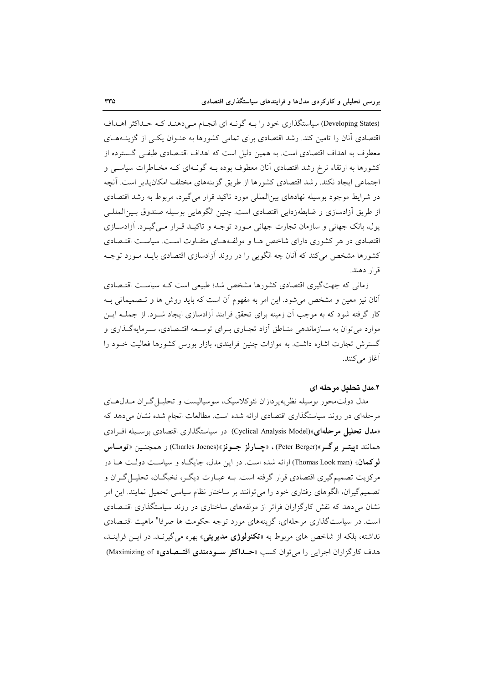(Developing States) سیاستگذاری خود را بـه گونـه ای انجـام مـی دهنـد کـه حـداکثر اهـداف اقتصادی آنان را تامین کند. رشد اقتصادی برای تمامی کشورها به عنــوان یکــی از گزینــههــای معطوف به اهداف اقتصادی است. به همین دلیل است که اهداف اقتـصادی طیفـی گــسترده از کشورها به ارتقاء نرخ رشد اقتصادی آنان معطوف بوده بـه گونـهای کـه مخـاطرات سیاسـی و اجتماعی ایجاد نکند. رشد اقتصادی کشورها از طریق گزینههای مختلف امکان پذیر است. آنچه در شرایط موجود بوسیله نهادهای بین|لمللی مورد تاکید قرار می گیرد، مربوط به رشد اقتصادی از طريق آزادسازي و ضابطهزدايي اقتصادي است. چنين الگوهايي بوسيله صندوق بـين|لمللـي یول، بانک جهانی و سازمان تجارت جهانی مـورد توجـه و تاکیـد قـرار مـی گیـرد. آزادســازی اقتصادی در هر کشوری دارای شاخص هـا و مولفـههـای متفـاوت اسـت. سیاسـت اقتـصادی کشورها مشخص می کند که آنان چه الگویی را در روند آزادسازی اقتصادی بایــد مــورد توجــه قرار دهند.

زمانی که جهت گیری اقتصادی کشورها مشخص شد؛ طبیعی است کـه سیاسـت اقتـصادی آنان نیز معین و مشخص میشود. این امر به مفهوم آن است که باید روش ها و تـصمیماتی بــه کار گرفته شود که به موجب آن زمینه برای تحقق فرایند آزادسازی ایجاد شــود. از جملــه ایــن موارد مي توان به ســازماندهي منــاطق اّزاد تجــاري بــراي توســعه اقتــصادي، ســرمايهگــذاري و گسترش تجارت اشاره داشت. به موازات چنین فرایندی، بازار بورس کشورها فعالیت خــود را آغاز می کنند.

## ٢.مدل تحليل مرحله اي

مدل دولتمحور بوسیله نظریهپردازان نئوکلاسیک، سوسیالیست و تحلیـل گـران مـدل۱هـای مرحلهای در روند سیاستگذاری اقتصادی ارائه شده است. مطالعات انجام شده نشان میدهد که «مدل تحلیل مرحلهای»(Cyclical Analysis Model) در سیاستگذاری اقتصادی بوسسیله اف ادی همانند «پيتــر برگــر»(Peter Berger)، «چــارلز جــونز»(Charles Joenes) و همچنــين «تومــاس لوكعان» (Thomas Look man) ارائه شده است. در این مدل، جایگاه و سیاست دولت هـا در مرکزیت تصمیمگیری اقتصادی قرار گرفته است. بــه عبــارت دیگــر، نخبگــان، تحلیــل گــران و تصمیم گیران، الگوهای رفتاری خود را می توانند بر ساختار نظام سیاسی تحمیل نمایند. این امر نشان می دهد که نقش کارگزاران فراتر از مولفههای ساختاری در روند سیاستگذاری اقتـصادی است. در سیاستگذاری مرحلهای، گزینههای مورد توجه حکومت ها صرفا" ماهیت اقتـصادی نداشته، بلکه از شاخص های مربوط به «**تکنولوژی مدیریتی**» بهره می گیرنـد. در ایــن فراینــد، هدف كاركزاران اجرايي را مي توان كسب «حـداكثر سـودمندي اقتــصادي» Maximizing of)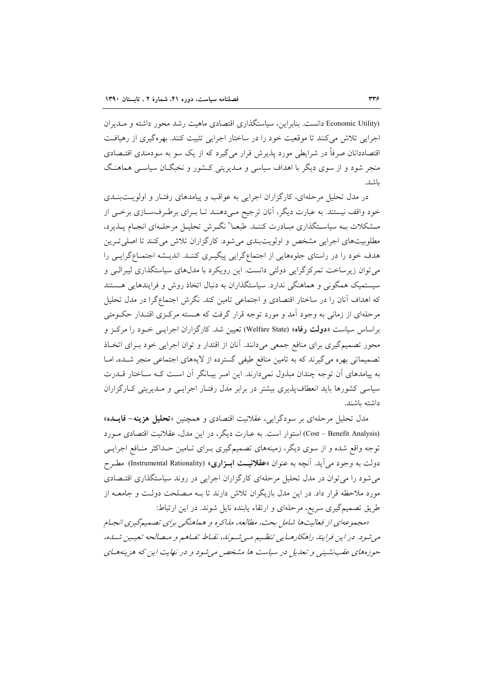(Economic Utility دانست. بنابراین، سیاستگذاری اقتصادی ماهیت رشد محور داشته و مـدیران اجرایی تلاش می کنند تا موقعیت خود را در ساختار اجرایی تثبیت کنند. بهرهگیری از رهیافت اقتصاددانان صرفاً در شرایطی مورد پذیرش قرار میگیرد که از یک سو به سودمندی اقتـصادی منجر شود و از سوی دیگر با اهداف سیاسی و مـدیریتی کـشور و نخبگــان سیاســی هماهنـگ ىاشد.

در مدل تحلیل مرحلهای، کارگزاران اجرایی به عواقب و پیامدهای رفتـار و اولویــتبنــدی خود واقف نیستند. به عبارت دیگر، آنان ترجیح مـیدهنـد تـا بـرای برطـرفسـازی برخـی از مشکلات بـه سیاسـتگذاري مبـادرت كننـد. طبعـا" نگـرش تحليـل مرحلـهاي انجـام پــذيرد، مطلوبیتهای اجرایی مشخص و اولویتبندی می شود. کارگزاران تلاش می کنند تا اصلی تـرین هدف خود را در راستای جلوههایی از اجتماعگرایی پیگیـری کننـد. اندیـشه اجتمـاعگرایـی را می توان زیرساخت تمرکز گرایی دولتی دانست. این رویکرد با مدلهای سیاستگذاری لیبرالـی و سیستمیک همگونی و هماهنگی ندارد. سیاستگذاران به دنبال اتخاذ روش و فرایندهایی هستند که اهداف آنان را در ساختار اقتصادی و اجتماعی تامین کند. نگرش اجتماع گرا در مدل تحلیل مرحلهای از زمانی به وجود آمد و مورد توجه قرار گرفت که هـسته مرکـزی اقتـدار حکــومتی براساس سیاست «**دولت رفاه**» (Welfare State) تعیین شد. کارگزاران اجرایــی خــود را مرکــز و محور تصمیمگیری برای منافع جمعی میدانند. آنان از اقتدار و توان اجرایی خود بـرای اتخـاذ تصمیماتی بهره میگیرند که به تامین منافع طیفی گسترده از لایههای اجتماعی منجر شـده، امـا به پیامدهای ان توجه چندان مبذول نمیدارند. این امـر بیـانگر ان اسـت کـه سـاختار قــدرت سیاسی کشورها باید انعطاف پذیری بیشتر در برابر مدل رفتـار اجرایـبی و مـدیریتی کـارگزاران داشته ىاشند.

مدل تحلیل مرحلهای بر سودگرایی، عقلانیت اقتصادی و همچنین «**تحلیل هزینه- فایــده**» (Cost – Benefit Analysis) استوار است. به عبارت دیگر، در این مدل، عقلانیت اقتصادی مـورد توجه واقع شده و از سوی دیگر، زمینههای تصمیمگیری بـرای تـامین حـداکثر منـافع اجرایـی دولت به وجود می آید. آنچه به عنوان «**عقلانیــت ابــزاری**» (Instrumental Rationality) مطـرح می شود را می توان در مدل تحلیل مرحلهای کارگزاران اجرایی در روند سیاستگذاری اقتـصادی مورد ملاحظه قرار داد. در این مدل بازیگران تلاش دارند تا بـه مـصلحت دولـت و جامعــه از طریق تصمیمگیری سریع، مرحلهای و ارتقاء یابنده نایل شوند. در این ارتباط:

«مجموعهای از فعالیتها شامل بحث، مطالعه، مذاکره و هماهنگی برای تصمیم گیری انجام می شود. در این فرایند راهکارهـایی تنظـیم مـی شـوند، نقـاط تفـاهـم و مـصالحه تعیـین شـده، حوزههای عقب نشینی و تعدیل در سیاست ها مشخص می شود و در نهایت این که هزینههای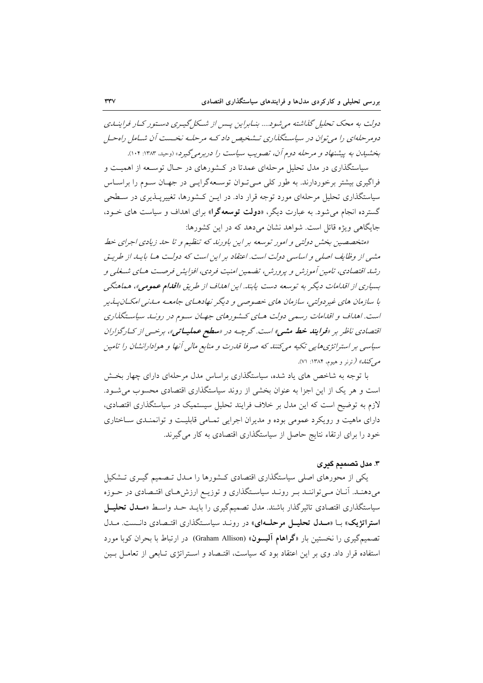دولت به محک تحلیل گذاشته می شود.... بنـابراین پـس از شـکل گیـری دسـتور کـار فراینـدی دومرحلهای را می توان در سیاستگذاری تـشخیص داد کـه مرحلـه نخـست آن شـاما ٬ راهحـا ٬ بخشیدن به پیشنهاد و مرحله دوم آن، تصویب سیاست را دربرمی گیرد، (دحید، ۱۳۸۳: ۱۰۴).

سیاستگذاری در مدل تحلیل مرحلهای عمدتا در کـشورهای در حـال توسـعه از اهمیـت و فراگیری بیشتر برخوردارند. به طور کلبی مبی تـوان توسـعهگرایـی در جهـان سـوم را براسـاس سیاستگذاری تحلیل مرحلهای مورد توجه قرار داد. در ایـن کـشورها، تغییرپـذیری در سـطحی گسترده انجام می شود. به عبارت دیگر، «**دولت توسعهگرا**» برای اهداف و سیاست های خـود، جایگاهی ویژه قائل است. شواهد نشان می دهد که در این کشورها:

«متخصصین بخش دولتی و امور توسعه بر این باورند که تنظیم و تا حد زیادی اجرای خط مشی از وظایف اصلی و اساسی دولت است. اعتقاد بر این است که دولت هـا بایـد از طریـق رشد اقتصادی، تامین آموزش و پرورش، تضمین امنیت فردی، افزایش فرصت هـای شـغلی و بسیاری از اقدامات دیگر به توسعه دست یابند. این اهداف از طریق «**اقدام عمومی»،** هماهنگی با سازمان های غیردولتی، سازمان های خصوصی و دیگر نهادهـای جامعـه مـازیی امکـان پـه پر است. اهداف و اقدامات رسمی دولت هـای کـشورهای جهـان سـوم در رونـد سیاسـتگذاری اقتصادی ناظر بر «**فرایند خط مشی»** است. گرچـه در «**سطح عملیــاتی**»، برخــی از کــارگزاران سیاسی بر استراتژی هایی تکیه می کنند که صرفا قدرت و منابع مالی آنها و هوادارانشان را تامین *می کنل» (*ترنر و هیوم، ۱۳۸۴: ۷۱).

با توجه به شاخص های یاد شده، سیاستگذاری براساس مدل مرحلهای دارای چهار بخش است و هر یک از این اجزا به عنوان بخشی از روند سیاستگذاری اقتصادی محسوب می شـود. لازم به توضیح است که این مدل بر خلاف فرایند تحلیل سیستمیک در سیاستگذاری اقتصادی، دارای ماهیت و رویکرد عمومی بوده و مدیران اجرایی تمـامی قابلیـت و توانمنـدی سـاختاری خود را برای ارتقاء نتایج حاصل از سیاستگذاری اقتصادی به کار میگیرند.

# ۳. مدل تصمیم گیری

یکی از محورهای اصلی سیاستگذاری اقتصادی کـشورها را مـدل تـصمیم گیـری تـشکیل میدهند. آنان می توانند بر روند سیاستگذاری و توزیـع ارزش هـای اقتـصادی در حـوزه سیاستگذاری اقتصادی تاثیر گذار باشند. مدل تصمیمگیری را بایـد حـد واسـط «مـدل تحلیــل استراتژیک» با «مـدل تحلیـل مرحلـهای» در رونـد سیاسـتگذاری اقتـصادی دانـست. مـدل تصمیم گیری را نخستین بار «گراهام آلیسون» (Graham Allison) در ارتباط با بحران کوبا مورد استفاده قرار داد. وی بر این اعتقاد بود که سیاست، اقتـصاد و اسـتراتژی تـابعی از تعامـل بـین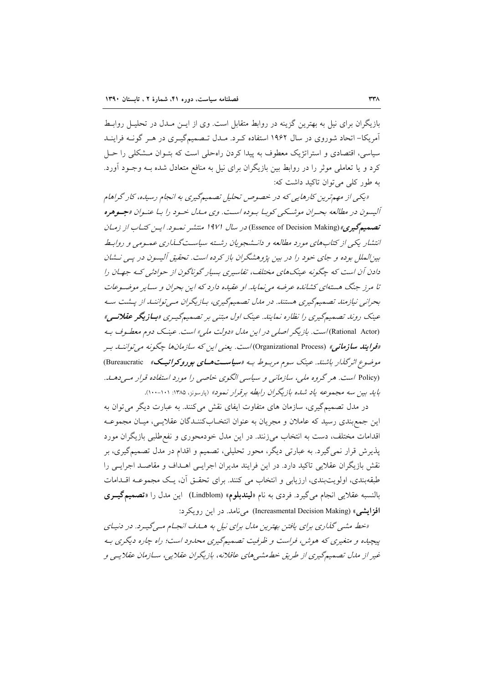بازیگران برای نیل به بهترین گزینه در روابط متقابل است. وی از ایــن مــدل در تحلیــل روابــط آمریکا– اتحاد شوروی در سال ۱۹۶۲ استفاده کـرد. مـدل تـصمیمگیـری در هـر گونــه فراینــد سیاسی، اقتصادی و استراتژیک معطوف به پیدا کردن راهحلی است که بتـوان مـشکلی را حـل کرد و یا تعاملی موثر را در روابط بین بازیگران برای نیل به منافع متعادل شده بــه وجــود آورد. به طور کلی می توان تاکید داشت که:

«یکی از مهم ترین کارهایی که در خصوص تحلیل تصمیم گیری به انجام رسیده، کار گراهام آليسون در مطالعه بحران موشكي كوبيا بيوده است. وي ميال خيود را بيا عنيوان «جيوهره تصمیم گیری» (Essence of Decision Making) در سال ۱۹۷۱ منتشیر نمبود. این کتباب از زمیان انتشار یکی از کتابهای مورد مطالعه و دانـشجویان رشـته سیاسـتگـذاری عمـومی و روابـط بین الملل بوده و جای خود را در بین پژوهشگران باز کرده است. تحقیق آلیسون در پسی نـشان دادن آن است که چگونه عینکهای مختلف، تفاسیری بسیار گوناگون از حوادثی کـه جهـان را تا مرز جنگ هستهای کشانده عرضه می نماید. او عقبده دارد که این بحران و سـایر موضـوعات بحرانی نیازمند تصمیم گیری هستند. در مدل تصمیم گیری، بـازیگران مـی تواننـد از پــشت سـه عینک روند تصمیمگیری را نظاره نمایند. عینک اول مبتنی بر تصمیمگیـری «**بـازیگر عقلانــی**» (Rational Actor) *است. بازیگر اصلی در این ملل «دولت ملی» است. عین*ک دوم مع*طوف ب*ه «ف**رایند سازمانی**» (Organizational Process)است. یعن<sub>ی</sub> این که سازمانها چگونه می *توانن*ـله بـر موضوع اثرگذار باشند. عینک سوم مربوط به «**سیاست های بوروکراتیک**» Bureaucratic) (Policy است. هر گروه ملبه، سازمانی و سیاسی الگوی خاصی را مورد استفاده قرار میے دهی۔ بايد بين سه مجموعه ياد شده بازيگران رابطه برقرار نمود» (پارسونز، ۱۳۸۵: ۱۰۱-۱۰۰).

در مدل تصمیم گیری، سازمان های متفاوت ایفای نقش می کنند. به عبارت دیگر می توان به این جمع بندی رسید که عاملان و مجریان به عنوان انتخـابکننـدگان عقلایـی، میـان مجموعـه اقدامات مختلف، دست به انتخاب میزنند. در این مدل خودمحوری و نفع طلبی بازیگران مورد پذیرش قرار نمی گیرد. به عبارتی دیگر، محور تحلیلی، تصمیم و اقدام در مدل تصمیمگیری، بر نقش بازیگران عقلایی تاکید دارد. در این فرایند مدیران اجرایـی اهــداف و مقاصـد اجرایـی را طبقهبندی، اولویتبندی، ارزیابی و انتخاب می کنند. برای تحقـق آن، یـک مجموعـه اقـدامات بالنسبه عقلايي انجام مي گيرد. فردي به نام «ليندبلوم» (Lindblom) اين مدل را «تصميم گيري افزايشي» (Increasmental Decision Making) مي نامد. در اين رويكرد:

«خط مشی گذاری برای یافتن بهترین ملال برای نیل به هساف انجام میگیرد. در دنیای پیچیده و متغیری که هوش، فراست و ظرفیت تصمیمگیری محدود است؛ راه چاره دیگری به غیر از مدل تصمیمگیری از طریق خطهشیهای عاقلانه، بازیگران عقلایی، سـازمان عقلایـی و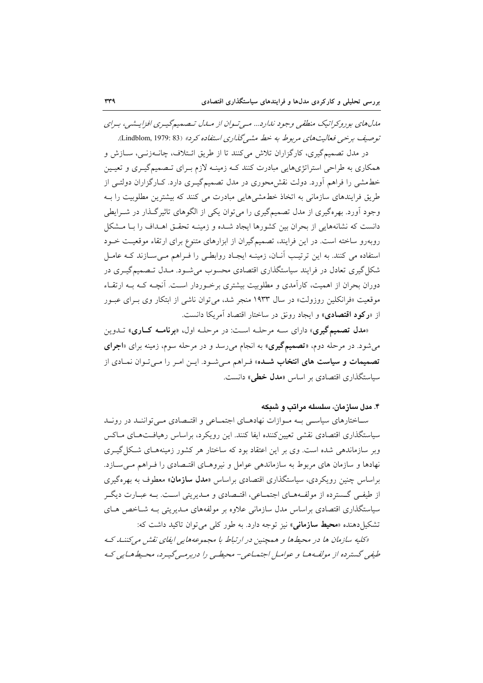مدل های بوروکراتیک منطقی وجود ندارد... می توان از ملدل تصمیم گیری افزایشی، برای توصيف برحي فعاليت هاي مربوط به خط مشه گذاري استفاده كرد» (Lindblom, 1979: 83).

در مدل تصمیم گیری، کارگزاران تلاش می کنند تا از طریق ائـتلاف، چانـهزنـی، سـازش و همکاری به طراحی استراتژیهایی مبادرت کنند کـه زمینـه لازم بـرای تـصمیمگیـری و تعیـین خطمشی را فراهم آورد. دولت نقش محوری در مدل تصمیمگیـری دارد. کــارگزاران دولتــی از طریق فرایندهای سازمانی به اتخاذ خطمشیهایی مبادرت می کنند که بیشترین مطلوبیت را بـه وجود آورد. بهرهگیری از مدل تصمیمگیری را می توان یکی از الگوهای تاثیرگذار در شـرایطی دانست که نشانههایی از بحران بین کشورها ایجاد شـده و زمینــه تحقــق اهــداف را بــا مــشکل روبهرو ساخته است. در این فرایند، تصمیمگیران از ابزارهای متنوع برای ارتقاء موقعیت خـود استفاده می کنند. به این ترتیب آنـان، زمینـه ایجـاد روابطـی را فـراهم مـیسـازند کـه عامـل شکل گیری تعادل در فرایند سیاستگذاری اقتصادی محسوب می شـود. مـدل تـصمیم گیــری در دوران بحران از اهمیت، کارآمدی و مطلوبیت بیشتری برخـوردار اســت. أنچــه کــه بــه ارتقــاء موقعیت «فرانکلین روزولت» در سال ۱۹۳۳ منجر شد، می توان ناشی از ابتکار وی بـرای عبـور از «**رکود اقتصادی**» و ایجاد رونق در ساختار اقتصاد آمریکا دانست.

«مدل تصمیم گیری» دارای سه مرحله است: در مرحله اول، «برنامه کاری» تـدوین می شود. در مرحله دوم، «**تصمیم گیری**» به انجام می رسد و در مرحله سوم، زمینه برای «**اجرای تصمیمات و سیاست های انتخاب شـد**ه» فـراهم مـیشـود. ایـن امـر را مـی تـوان نمـادی از سیاستگذاری اقتصادی بر اساس «مدل خطی» دانست.

۴. مدل سازمان، سلسله مراتب و شبکه

ساختارهای سیاسی به موازات نهادهای اجتماعی و اقتصادی میتوانند در روند سیاستگذاری اقتصادی نقشی تعیین کننده ایفا کنند. این رویکرد، براساس رهپافـتهـای مـاکس وبر سازماندهی شده است. وی بر این اعتقاد بود که ساختار هر کشور زمینههـای شـکل گیـری نهادها و سازمان های مربوط به سازماندهی عوامل و نیروهـای اقتـصادی را فـراهم مـیسـازد. براساس چنین رویکردی، سیاستگذاری اقتصادی براساس «م**دل سازمان**» معطوف به بهرهگیری از طيفي گـسترده از مولفـههــاي اجتمــاعي، اقتــصادي و مــديريتي اســت. بــه عبــارت ديگــر سیاستگذاری اقتصادی براساس مدل سازمانی علاوه بر مولفههای مـدیریتی بـه شـاخص هـای تشکیل دهنده «محیط سازمانی» نیز توجه دارد. به طور کلی می توان تاکید داشت که:

«کلیه سازمان ها در محیطها و همچنین در ارتباط با مجموعههایی ایفای نقش می کننها ک طبقی گسترده از مولفµها و عوامل اجتماعی− محیطے را دربرمبے گییرد، محیط هبایی ک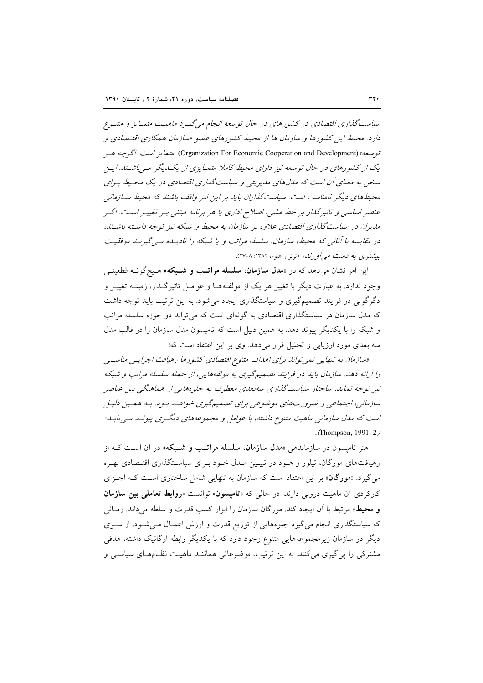سیاست گذاری اقتصادی در کشورهای در حال توسعه انجام می گیـرد ماهیـت متمـایز و متنـوع دارد. محیط این کشورها و سازمان ها از محیط کشورهای عضو «سازمان همکاری اقتیصادی و توسعه» (Organization For Economic Cooperation and Development) متبعايز است. اگرچه هسر یک از کشورهای در حال توسعه نیز دارای محیط کاملا متمایزی از یک پگر می باشت. این سخن به معنای آن است که مدلهای مدیریتی و سیاست گذاری اقتصادی در یک محیط بهرای محیطهای دیگر نامناسب است. سیاست گذاران باید بر این امر واقف باشند که محیط سـازمانی عنصر اساسی و تاثیرگذار بر خط مشی، اصلاح اداری یا هر برنامه مبتنی بسر تغییسر است. اگسر مدیران در سیاست گذاری اقتصادی علاوه بر سازمان به محیط و شبکه نیز توجه داشته باشتند، در مقایسه با آنانی که محیط، سازمان، سلسله مراتب و یا شبکه را نادیـلـه مــیگیرنـلـ موفقیـت بیشتری به دست مه آورند» (ترنر و هیوم، ۱۳۸۴: ۸-۲۷).

این امر نشان میدهد که در «م**دل سازمان، سلسله مراتـب و شـبکه**» هـیچگونــه قطعیتــی وجود ندارد. به عبارت دیگر با تغییر هر یک از مولف4هـا و عوامـل تاثیرگـذار، زمینــه تغییــر و دگر گونی در فرایند تصمیم گیری و سیاستگذاری ایجاد می شود. به این ترتیب باید توجه داشت که مدل سازمان در سیاستگذاری اقتصادی به گونهای است که می تواند دو حوزه سلسله مراتب و شبکه را با یکدیگر پیوند دهد. به همین دلیل است که تامپسون مدل سازمان را در قالب مدل سه بعدی مورد ارزیابی و تحلیل قرار میدهد. وی بر این اعتقاد است که:

«سازمان به تنهایی نمی تواند برای اهداف متنوع اقتصادی کشورها رهیافت اجرایی مناسبی را ارائه دهد. سازمان باید در فرایند تصمیمگیری به مولفههایی، از جمله سلسله مراتب و شبکه نیز توجه نماید. ساختار سیاستگذاری سه بعدی معطوف به جلوههایی از هماهنگی بین عناصر سازمانی، اجتماعی و ضرورتهای موضوعی برای تصمیمگیری خواهـله بـود. بـه همـین دلیـل است که مدل سازمانی ماهیت متنوع داشته، با عوامل و مجموعههای دیگری پیونید می یابید» . (Thompson, 1991:  $2$ )

هنر تامیسون در سازمانده<sub>ی</sub> «م**دل سازمان، سلسله مراتب و شـبکه**» در آن اسـت کـه از رهیافتهای مورگان، تیلور و هـود در تبیـین مـدل خـود بـرای سیاسـتگذاری اقتـصادی بهـره می گیرد. «مورگان» بر این اعتقاد است که سازمان به تنهایی شامل ساختاری است کـه اجـزای کارکردی آن ماهیت درونی دارند. در حالی که «**تامیسون**» توانست «**روابط تعاملی بین سازمان** و محيط» مرتبط با آن ايجاد كند. مورگان سازمان را ابزار كسب قدرت و سلطه مى داند. زمـانى که سیاستگذاری انجام میگیرد جلوههایی از توزیع قدرت و ارزش اعمـال مـیشـود. از ســوی دیگر در سازمان زیرمجموعههایی متنوع وجود دارد که با یکدیگر رابطه ارگانیک داشته، هدفی مشترکی را پی گیری میکنند. به این ترتیب، موضوعاتی هماننـد ماهیـت نظـامهـای سیاسـی و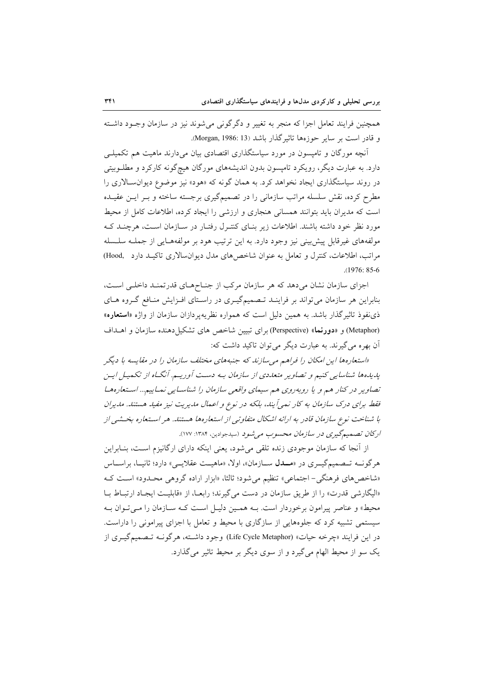همچنین فرایند تعامل اجزا که منجر به تغییر و دگرگونی می شوند نیز در سازمان وجـود داشـته و قادر است بر سایر جوزهها تاثیر گذار باشد (Morgan, 1986: 13).

آنچه مورگان و تامیسون در مورد سیاستگذاری اقتصادی بیان میدارند ماهیت هم تکمیل<sub>س</sub> دارد. به عبارت دیگر، رویکرد تامپسون بدون اندیشههای مورگان هیچگونه کارکرد و مطلـوبیتی در روند سیاستگذاری ایجاد نخواهد کرد. به همان گونه که «هود» نیز موضوع دیوان سالاری را مطرح کرده، نقش سلسله مراتب سازمانی را در تصمیمگیری برجسته ساخته و بـر ایــن عقیــده است که مدیران باید بتوانند همسانی هنجاری و ارزشی را ایجاد کرده، اطلاعات کامل از محیط مورد نظر خود داشته باشند. اطلاعات زیر بنـای کنتـرل رفتـار در سـازمان اسـت، هرچنـد کـه مولفههای غیرقابل پیش بینی نیز وجود دارد. به این ترتیب هود بر مولفههـایی از جملـه سلـسله مراتب، اطلاعات، کنترل و تعامل به عنوان شاخصهای مدل دیوانسالاری تاکیـد دارد Rood,  $(1976; 85-6)$ 

اجزای سازمان نشان میدهد که هر سازمان مرکب از جنـاحهـای قدرتمنـد داخلـی اسـت، بنابراین هر سازمان می تواند بر فراینــد تـصمیمگیــری در راسـتای افــزایش منــافع گــروه هــای ذی نفوذ تاثیر گذار باشد. به همین دلیل است که همواره نظریهپردازان سازمان از واژه «**استعار**ه» (Metaphor) و «دورنما» (Perspective) براي تبيين شاخص هاي تشكيا دهنده سازمان و اهــداف آن بهره می گیرند. به عبارت دیگر می توان تاکید داشت که:

«استعارهها این امکان را فراهم می سازند که جنبههای مختلف سازمان را در مقایسه با دیگر پدیده ها شناسایی کنیم و تصاویر متعددی از سازمان به دست آوریم. آنگ۱ه از تکمیل این تصاویر در کنار هم و یا روبهروی هم سیمای واقعی سازمان را شناسایی نماییم… استعارهها فقط برای درک سازمان به کار نمی آیند، بلکه در نوع و اعمال مدیریت نیز مفید هستند. مدیران با شناخت نوع سازمان قادر به ارائه اشکال متفاوتی از استعارهها هستند. هر استعاره بخشی از اركان تصميم گيري در سازمان محسوب مي شود (سيدجوادين، ١٣٨۴: ١٧٧).

از آنجا که سازمان موجودی زنده تلقی می شود، یعنی اینکه دارای ارگانیزم است، بنـابراین هرگونــه تــصميمگيــري در «مـــدل ســازمان»، اولا، «ماهيــت عقلايــي» دارد؛ ثانيــا، براســاس «شاخصهای فرهنگی- اجتماعی» تنظیم می شود؛ ثالثا، «ابزار اراده گروهی محدود» است ک «اليگارشي قدرت» را از طريق سازمان در دست مي گيرند؛ رابعـا، از «قابليـت ايجـاد ارتبـاط بـا محیط» و عناصر پیرامون برخوردار است. بـه همـین دلیـل اسـت کـه سـازمان را مـیتوان بـه سیستمی تشبیه کرد که جلوههایی از سازگاری با محیط و تعامل با اجزای پیرامونی را داراست. در این فرایند «چرخه حیات» (Life Cycle Metaphor) وجود داشته، هرگونــه تــصمیمگیــری از یک سو از محیط الهام می گیرد و از سوی دیگر بر محیط تاثیر می گذارد.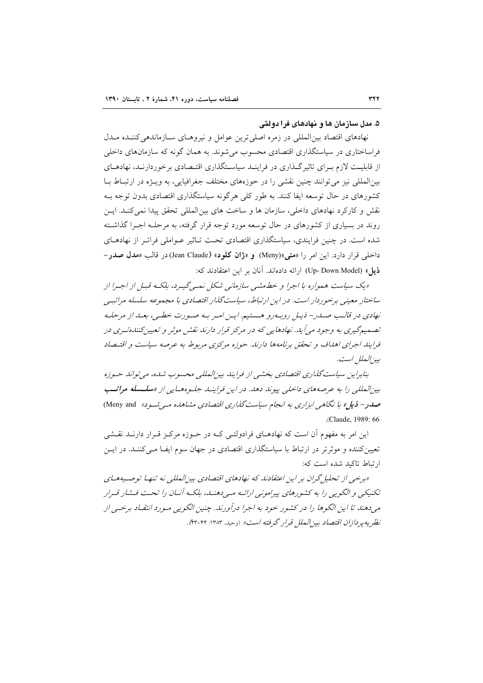### ۵. مدل سازمان ها و نهادهای فرا دولتی

نهادهای اقتصاد بین|لمللی در زمره اصلی ترین عوامل و نیروهـای ســازماندهی کننــده مــدل فراساختاری در سیاستگذاری اقتصادی محسوب می شوند. به همان گونه که سازمانهای داخلی از قابلیت لازم به ای تاثیر گـذاری در فراینـد سیاسـتگذاری اقتـصادی برخوردارنـد، نهادهــای بینالمللی نیز می توانند چنین نقشی را در حوزههای مختلف جغرافیایی، به ویـژه در ارتبـاط بـا کشورهای در حال توسعه ایفا کنند. به طور کلی هرگونه سیاستگذاری اقتصادی بدون توجه بـه نقش و کارکرد نهادهای داخلی، سازمان ها و ساخت های بین|لمللی تحقق پیدا نمی کنـد. ایــن روند در بسیاری از کشورهای در حال توسعه مورد توجه قرار گرفته، به مرحلـه اجـرا گذاشـته شده است. در چنین فرایندی، سیاستگذاری اقتصادی تحت تـاثیر عـواملی فراتـر از نهادهـای داخلی قرار دارد. این امر را «منی»(Meny) و «ژان کلود» (Jean Claude)در قالب «مدل صدر – ذيل» (Up- Down Model) ارائه دادهاند. آنان بر اين اعتقادند كه:

«یک سیاست همواره با اجرا و خط مشی سازمانی شکل نمبی گیبرد، بلکـه قبـل از اجـرا از ساختار معینی برخوردار است. در این ارتباط، سیاستگذار اقتصادی با مجموعه سلسله مراتبهی نهادي در قالب صيدر- ذيبل روييه رو هستيم. اين امير بيه صيورت خطبي، بعيد از مرحليه تصمیم گیری به وجود می آید. نهادهایی که در مرکز قرار دارند نقش موثر و تعیین کننده توی در فرایند اجرای اهداف و تحقق برنامهها دارند. حوزه مرکزی مربوط به عرصه سیاست و اقتیصاد بيز إلعال است.

بنابراین سیاست گذاری اقتصادی بخشیی از فرایند بین المللی محسوب شده، می تواند حسوزه بین المللی را به عرصه های داخلی پیوند دهد. در این فراینب جلسوه هسایی از «**سلسله مراتب** صدر - فرمل» با نگاهی ایزاری به انجام سیاست گذاری اقتصادی مشاهده مه شد وه» Meny and) .(Claude, 1989: 66

این امر به مفهوم آن است که نهادهـای فرادولتـی کـه در حـوزه مرکـز قـرار دارنــد نقـشی تعیین کننده و موثر تر در ارتباط با سیاستگذاری اقتصادی در جهان سوم ایف) مبی کننـد. در ایــن ارتباط تاكيد شده است كه:

«برخبي از تحلیل گران پر اين اعتقادند كه نهادهاي اقتصادي پين المللي نه تنهـا توصـيههـاي تکنیکے و الگوپے را به کشورهای پیرامونی ارائیه میے دهنیا، بلکیه آنیان را تحت فیشار قبرار می دهند تا این الگوها را در کشور خود به اجرا درآورند. چنین الگویی مـورد انتقـاد برخـی از نظريه يد دازان اقتصاد بين الملل قرار گرفته است» (وحيد، ١٣٨٣: ٣٢-۴٣).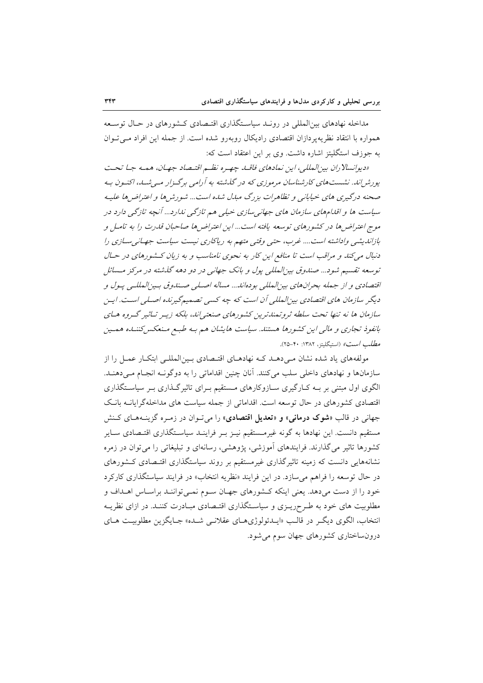مداخله نهادهای بین|لمللی در رونـد سیاسـتگذاری اقتـصادی کـشورهای در حـال توسـعه همواره با انتقاد نظریه پر دازان اقتصادی رادیکال روبهرو شده است. از جمله این افراد مبی تبوان به جوزف استگلیتز اشاره داشت. وی بر این اعتقاد است که:

«دیوانسلا ران بین المللی، این نمادهای فاقبا. چهره نظیم اقتصاد جهان، همیه جبا تحت پورش اند. نشست های کارشناسان مرموزی که در گذشته به آرامی برگیزار می شب، اکنیون به صحنه درگیری های خیابانی و تظاهرات بزرگ مبدل شده است... شورشها و اعتراضها علیه سیاست ها و اقلهٔ مهای سازمان های جهانی سازی خیلی هم تازگی ندارد... آنچه تازگی دارد در موج اعتراض ها در کشورهای توسعه یافته است... این اعتراض ها صاحبان قدرت را به تامیل و بازاندیشی واداشته است.... غرب، حتی وقتی متهم به ریاکاری نیست سیاست جهانی سازی را دنبال می کند و مراقب است تا منافع این کار به نحوی نامناسب و به زیان کشورهای در حـال توسعه تقسیم شود... صندوق بین المللی پول و بانک جهانی در دو دهه گذشته در مرکز مسائل اقتصادي و از جمله بحرانهاي بين المللي بودهاند... مساله اصلي صندوق بـين المللـي پـول و دیگر سازمان های اقتصادی بین المللی آن است که چه کسی تصمیم گیرنده اصلی است. ایس سازمان ها نه تنها تحت سلطه ثروتمندترین کشورهای صنعتی|ند، بلکه زیـر تـاثیر گـروه هـای بانفوذ تجاری و مالی این کشورها هستند. سیاست هایشان هم به طبع منعکس کننده همسین مطلب است» (استيگليتز، ١٣٨٢: ٣٠-٢٥).

مولفههای یاد شده نشان مےدهـد کـه نهادهـای اقتـصادی بـینالمللـی ابتکـار عمـل را از سازمانها و نهادهای داخلی سلب میکنند. آنان چنین اقداماتی را به دوگونـه انجـام مـیدهنـد. الگوی اول مبتنی بر بـه کـارگیری سـازوکارهای مـستقیم بـرای تاثیرگـذاری بـر سیاسـتگذاری اقتصادی کشورهای در حال توسعه است. اقداماتی از جمله سیاست های مداخلهگرایانــه بانـک جهاني در قالب «شوک درماني» و «تعديل اقتصادي» را مي تـوان در زمـره گزينـههـاي کـنش مستقیم دانست. این نهادها به گونه غیرمـستقیم نیـز بـر فراینـد سیاسـتگذاری اقتـصادی سـایر کشورها تاثیر می گذارند. فرایندهای آموزشی، یژوهشی، رسانهای و تبلیغاتی را می توان در زمره نشانههایی دانست که زمینه تاثیرگذاری غیرمستقیم بر روند سیاستگذاری اقتـصادی کـشورهای در حال توسعه را فراهم می سازد. در این فرایند «نظریه انتخاب» در فرایند سیاستگذاری کارکرد خود را از دست میدهد. یعنی اینکه کشورهای جهـان سـوم نمـیتواننـد براسـاس اهـداف و مطلوبیت های خود به طـرحریـزی و سیاسـتگذاری اقتـصادی مبـادرت کننـد. در ازای نظریـه انتخاب، الگوی دیگر در قالب «ایـدئولوژیهـای عقلانـی شـده» جـایگزین مطلوبیـت هـای درونساختاری کشورهای جهان سوم می شود.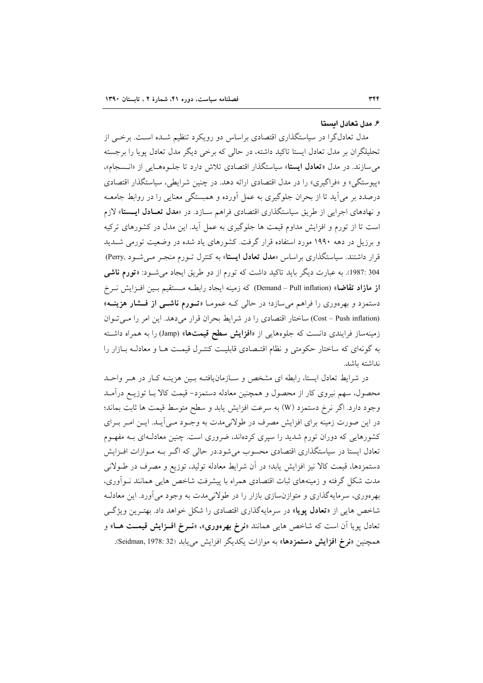#### ۶. مدل تعادل ایستا

مدل تعادلگرا در سیاستگذاری اقتصادی براساس دو رویکرد تنظیم شــده اســت. برخــی از تحلیلگران بر مدل تعادل ایستا تاکید داشته، در حالی که برخی دیگر مدل تعادل پویا را برجسته می سازند. در مدل «تعادل ایستا» سیاستگذار اقتصادی تلاش دارد تا جلوههایی از «انـسجام»، «پیوستگی» و «فراگیری» را در مدل اقتصادی ارائه دهد. در چنین شرایطی، سیاستگذار اقتصادی درصدد بر می آید تا از بحران جلوگیری به عمل آورده و همبستگی معنایی را در روابط جامعـه و نهادهای اجرایی از طریق سیاستگذاری اقتصادی فراهم سـازد. در «مدل تعـادل ایـستا» لازم است تا از تورم و افزایش مداوم قیمت ها جلوگیری به عمل آید. این مدل در کشورهای ترکیه و برزیل در دهه ۱۹۹۰ مورد استفاده قرار گرفت. کشورهای یاد شده در وضعیت تورمی شـدید قرار داشتند. سیاستگذاری براساس «مدل تعادل ایستا» به کنترل تـورم منجـر مـی شـود ,Perry) 304 :1987). به عبارت دیگر باید تاکید داشت که تورم از دو طریق ایجاد میشود: «**تورم ناشی** از مازاد تقاضا» (Demand – Pull inflation) كه زمينه ايجاد رابطـه مـستقيم بـين افـزايش نـرخ دستمزد و بهرهوری را فراهم میسازد؛ در حال<sub>ی</sub> کـه عمومـا «**تــورم ناشــی از فــشار هزینــه**» (Cost - Push inflation) ساختار اقتصادي را در شرايط بحران قرار مي دهد. اين امر را مي توان زمینهساز فرایندی دانست که جلوههایی از «**افزایش سطح قیمتها**» (Jamp) را به همراه داشته به گونهای که ساختار حکومتی و نظام اقتـصادی قابلیـت کنتـرل قیمـت هـا و معادلـه بــازار را نداشته باشد.

در شرایط تعادل ایستا، رابطه ای مشخص و سازمان یافتـه بـین هزینـه کـار در هـر واحـد محصول، سهم نیروی کار از محصول و همچنین معادله دستمزد– قیمت کالا بـا توزیــع درآمــد وجود دارد. اگر نرخ دستمزد (W) به سرعت افزایش یابد و سطح متوسط قیمت ها ثابت بماند؛ در این صورت زمینه برای افزایش مصرف در طولانی مدت به وجـود مـی]یـد. ایـن امـر بـرای کشورهایی که دوران تورم شدید را سپری کردهاند، ضروری است. چنین معادلـهای بـه مفهـوم تعادل ایستا در سیاستگذاری اقتصادی محسوب می شود.در حالی که اگـر بـه مـوازات افـزایش دستمزدها، قيمت كالا نيز افزايش يابد؛ در أن شرايط معادله توليد، توزيع و مصرف در طـولاني مدت شکل گرفته و زمینههای ثبات اقتصادی همراه با پیشرفت شاخص هایی همانند نـوآوری، بهرهوری، سرمایهگذاری و متوازنسازی بازار را در طولانیمدت به وجود می آورد. این معادلـه شاخص هایی از «**تعادل پویا**» در سرمایهگذاری اقتصادی را شکل خواهد داد. بهتـرین ویژگـی تعادل پویا آن است که شاخص هایی همانند «**نرخ بهرهوری»، «نــرخ افــزایش قیمــت هــا»** و همچنین «**نرخ افزایش دستمزدها**» به موازات یکدیگر افزایش می یابد (Seidman, 1978: 32).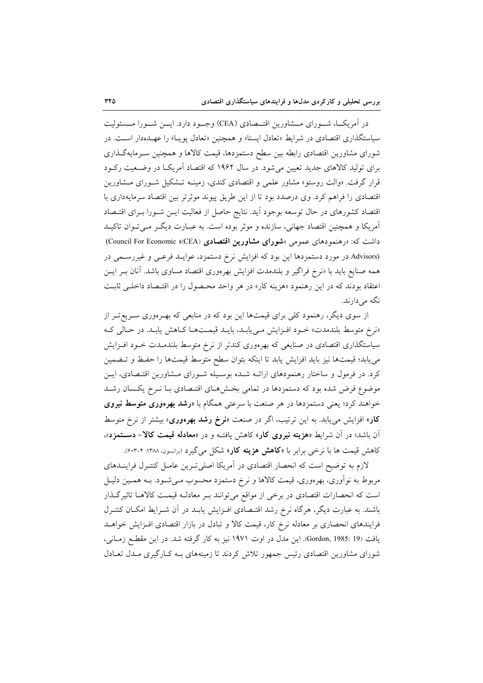در آمریک)، شـورای مــشاورین اقتــصادی (CEA) وجــود دارد. ایـــن شــورا مــسئولیت سیاستگذاری اقتصادی در شرایط «تعادل ایستا» و همچنین «تعادل یوپا» را عهــدهدار اســت. در شورای مشاورین اقتصادی رابطه بین سطح دستمزدها، قیمت کالاها و همچنین سـرمایهگـذاری برای تولید کالاهای جدید تعیین می شود. در سال ۱۹۶۲ که اقتصاد آمریکا در وضـعیت رکـود قرار گرفت. «والت روستو» مشاور علمی و اقتصادی کندی، زمینــه تــشکیل شــورای مــشاورین اقتصادی را فراهم کرد. وی درصدد بود تا از این طریق پیوند موثرتر بین اقتصاد سرمایهداری با اقتصاد کشورهای در حال توسعه بوجود آید. نتایج حاصل از فعالیت ایـن شـورا بـرای اقتـصاد آمریکا و همچنین اقتصاد جهانی، سازنده و موثر بوده است. به عبـارت دیگـر مـی تـوان تاکیـد داشت که: «رهنمودهای عمومی «شورای مشاورین اقتصادی (Ceancil For Economic «CEA)) (Advisors در مورد دستمزدها این بود که افزایش نرخ دستمزد، عوایلد فرعبی و غیررسمی در همه صنایع باید با «نرخ فراگیر و بلندمدت افزایش بهرهوری اقتصاد مساوی باشد. آنان بـر ایــن اعتقاد بودند كه در اين رهنمود «هزينه كار» در هر واحد محصول را در اقتـصاد داخلـي ثابـت نگه مے دارند.

از سوی دیگر، رهنمود کلی برای قیمتها این بود که در منابعی که بهـرهوری سـریع تـر از «نرخ متوسط بلندمدت» خـود افـزايش مـىيابـد، بايـد قيمـتهـا كـاهش يابـد. در حـالي كـه سیاستگذاری اقتصادی در صنایعی که بهرهوری کندتر از نرخ متوسط بلندمــدت خــود افــزایش می یابد؛ قیمتها نیز باید افزایش یابد تا اینکه بتوان سطح متوسط قیمتها را حفظ و تـضمین کرد. در فرمول و ساختار رهنمودهای ارائــه شــده بوسـیله شــورای مــشاورین اقتـصادی، ایــن موضوع فرض شده بود که دستمزدها در تمامی بخشهای اقتـصادی بـا نـرخ یکـسان رشـد خواهند کرد؛ یعنی دستمزدها در هر صنعت با سرعتی همگام با «**رشد بهرهوری متوسط نیروی** کار» افزایش می یابد. به این ترتیب، اگر در صنعت «**نرخ رشد بهرهوری**» بیشتر از نرخ متوسط آن باشد؛ در آن شرایط «هزینه نیروی کار» کاهش یافتـه و در «معادله قیمت کالا- دسـتمزد»، کاهش قیمت ها با نرخی برابر با «**کاهش هزینه کار**» شکل می گیرد (برانسون، ۱۳۸۸: ۴-۶۰۳).

لازم به توضیح است که انحصار اقتصادی در آمریکا اصلی تـرین عامـل کنتـرل فراینــدهای مربوط به نوآوري، بهرهوري، قيمت كالاها و نرخ دستمزد محسوب مـي شـود. بــه همـين دليـل است که انحصارات اقتصادی در برخی از مواقع میتوانند بـر معادلـه قیمـت کالاهـا تاثیرگـذار باشند. به عبارت دیگر، هرگاه نرخ رشد اقتـصادی افـزایش یابـد در أن شـرایط امکـان کنتـرل فرایندهای انحصاری بر معادله نرخ کار، قیمت کالا و تبادل در بازار اقتصادی افـزایش خواهـد يافت (Gordon, 1985: 19). اين مدل در اوت ١٩٧١ نيز به كار گرفته شد. در اين مقطع زمـاني، شورای مشاورین اقتصادی رئیس جمهور تلاش کردند تا زمینههای بـه کـارگیری مـدل تعـادل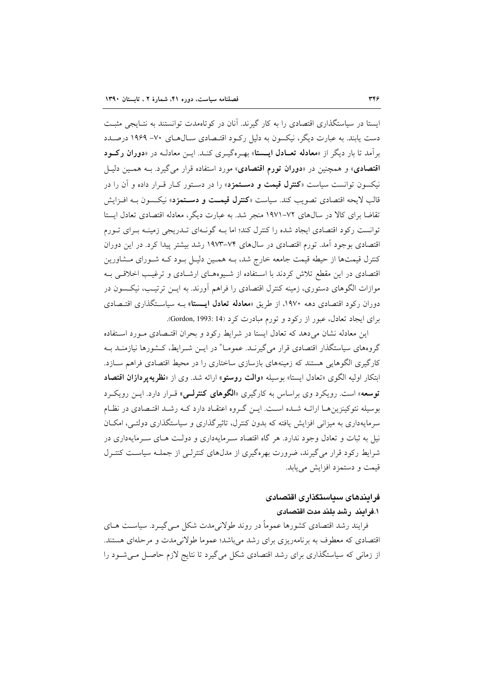ایستا در سیاستگذاری اقتصادی را به کار گیرند. آنان در کوتاهمدت توانستند به نتـایجی مثبـت دست پابند. به عبارت دیگر، نیکسون به دلیل رکبود اقتـصادی ســال۱هـای ۷۰– ۱۹۶۹ درصــدد برآمد تا بار دیگر از «**معادله تعــادل ایــستا**» بهـرهگیــری کنــد. ایــن معادلــه در «**دوران رکــود** اقتصادی» و همچنین در «**دوران تورم اقتصادی**» مورد استفاده قرار می گیرد. بـه همـین دلیـل نیکسون توانست سیاست «**کنترل قیمت و دسـتمزد**» را در دسـتور کـار قـرار داده و آن را در قالب لايحه اقتصادي تصويب كند. سياست «**كنترل قيمـت و دسـتمزد**» نيكـسون بــه افـزايش تقاضا برای کالا در سالهای ۷۲–۱۹۷۱ منجر شد. به عبارت دیگر، معادله اقتصادی تعادل ایستا توانست رکود اقتصادی ایجاد شده را کنترل کند؛ اما بـه گونـهای تـدریجی زمینـه بـرای تـورم اقتصادی بوجود آمد. تورم اقتصادی در سال۵ای ۷۴–۱۹۷۳ رشد بیشتر پیدا کرد. در این دوران کنترل قیمتها از حیطه قیمت جامعه خارج شد، بـه همـین دلیـل بـود کـه شـورای مـشاورین اقتصادی در این مقطع تلاش کردند با استفاده از شیوههای ارشادی و ترغیب اخلاقی بـه موازات الگوهای دستوری، زمینه کنترل اقتصادی را فراهم آورند. به ایــن ترتیـب، نیکــسون در دوران رکود اقتصادی دهه ۱۹۷۰، از طریق «معادله تعادل ایستا» بـه سیاسـتگذاری اقتـصادی برای ایجاد تعادل، عبور از رکود و تورم مبادرت کرد (Gordon, 1993: 14).

این معادله نشان می دهد که تعادل ایستا در شرایط رکود و بحران اقتـصادی مـورد اسـتفاده گروههای سیاستگذار اقتصادی قرار می گیرنـد. عمومـا" در ایــن شــرایط، کــشورها نیازمنــد بــه کارگیری الگوهایی هستند که زمینههای بازسازی ساختاری را در محیط اقتصادی فراهم سـازد. ابتکار اولیه الگوی «تعادل ایستا» بوسیله «**والت روستو**» ارائه شد. وی از «**نظریه پردازان اقتصاد** توسعه» است. رویکرد وی براساس به کارگیری «**الگوهای کنترلـی**» قـرار دارد. ایــن رویکــرد بوسیله نئوکینزین هـا ارائــه شــده اســت. ایــن گــروه اعتقــاد دارد کــه رشــد اقتــصادی در نظـام سرمایهداری به میزانی افزایش یافته که بدون کنترل، تاثیر گذاری و سیاستگذاری دولتبی، امکـان نیل به ثبات و تعادل وجود ندارد. هر گاه اقتصاد سـرمایهداری و دولـت هـای سـرمایهداری در شرایط رکود قرار می گیرند، ضرورت بهرهگیری از مدلهای کنترلـی از جملـه سیاسـت کنتـرل قيمت و دستمزد افزايش مي يابد.

# فرایندهای سیاستگذاری اقتصادی

### ١.فرايند رشد بلند مدت اقتصادى

فرایند رشد اقتصادی کشورها عموماً در روند طولانیِمدت شکل مـیگیــرد. سیاســت هــای اقتصادی که معطوف به برنامهریزی برای رشد میباشد؛ عموما طولانیمدت و مرحلهای هستند. از زمانی که سیاستگذاری برای رشد اقتصادی شکل می گیرد تا نتایج لازم حاصـل مـی شـود را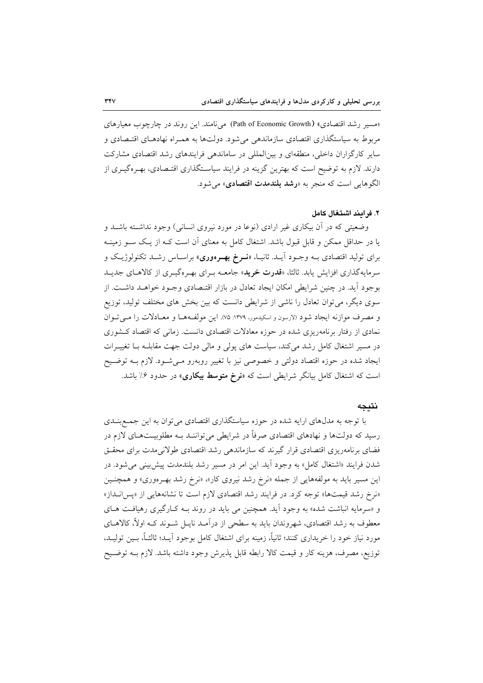«مسیر رشد اقتصادی» (Path of Economic Growth) می نامند. این روند در چارچوب معیارهای مربوط به سیاستگذاری اقتصادی سازماندهی میشود. دولتها به همـراه نهادهـای اقتـصادی و سایر کارگزاران داخلی، منطقهای و بین المللی در ساماندهی فرایندهای رشد اقتصادی مشارکت دارند. لازم به توضیح است که بهترین گزینه در فرایند سیاسـتگذاری اقتـصادی، بهـرهگیــری از الگوهايي است كه منجر به «**رشد بلندمدت اقتصادي**» مي شود.

## ٢. فرايند اشتغال كامل

وضعیتی که در آن بیکاری غیر ارادی (نوعا در مورد نیروی انسانی) وجود نداشته باشـد و یا در حداقل ممکن و قابل قبول باشد. اشتغال کامل به معنای آن است کـه از یـک سـو زمینـه برای تولید اقتصادی بــه وجــود آیــد. ثانیــا، «**نــوخ بهــوهوری**» براســاس رشــد تکنولوژیــک و سرمایهگذاری افزایش یابد. ثالثا، «ق**درت خرید**» جامعــه بـرای بهـرهگیـری از کالاهـای جدیـد بوجود آید. در چنین شرایطی امکان ایجاد تعادل در بازار اقتـصادی وجـود خواهــد داشــت. از سوی دیگر، می توان تعادل را ناشی از شرایطی دانست که بین بخش های مختلف تولید، توزیع و مصرف موازنه ایجاد شود (لارسون و اسکیدمور، ۱۳۷۹: ۷۵). این مولفهها و معـادلات را مـی تـوان نمادی از رفتار برنامهریزی شده در حوزه معادلات اقتصادی دانست. زمانی که اقتصاد کشوری در مسیر اشتغال کامل رشد میکند، سیاست های پولی و مالی دولت جهت مقابلـه بــا تغییــرات ایجاد شده در حوزه اقتصاد دولتی و خصوصی نیز با تغییر روبهرو مـیشـود. لازم بـه توضـیح است که اشتغال کامل بیانگر شرایطی است که «**نرخ متوسط بیکاری**» در حدود ۶٪ باشد.

### نتىحە

با توجه به مدلهای ارایه شده در حوزه سیاستگذاری اقتصادی می توان به این جمع بنــدی رسید که دولتها و نهادهای اقتصادی صرفاً در شرایطی میتواننـد بـه مطلوبیــتهـای لازم در فضای برنامهریزی اقتصادی قرار گیرند که سازماندهی رشد اقتصادی طولانیمدت برای محقـق شدن فرایند «اشتغال کامل» به وجود آید. این امر در مسیر رشد بلندمدت پیش بینی می شود. در این مسیر باید به مولفههایی از جمله «نرخ رشد نیروی کار»، «نرخ رشد به رموری» و همچنـین «نرخ رشد قیمتها» توجه کرد. در فرایند رشد اقتصادی لازم است تا نشانههایی از «پس انداز» و «سرمایه انباشت شده» به وجود آید. همچنین می باید در روند بـه کـارگیری رهیافـت هـای معطوف به رشد اقتصادی، شهروندان باید به سطحی از درآمـد نایــل شــوند کــه اولاً، کالاهــای مورد نیاز خود را خریداری کنند؛ ثانیاً، زمینه برای اشتغال کامل بوجود آیـد؛ ثالثــاً، بــین تولیــد، توزیع، مصرف، هزینه کار و قیمت کالا رابطه قابل پذیرش وجود داشته باشد. لازم بــه توضــیح